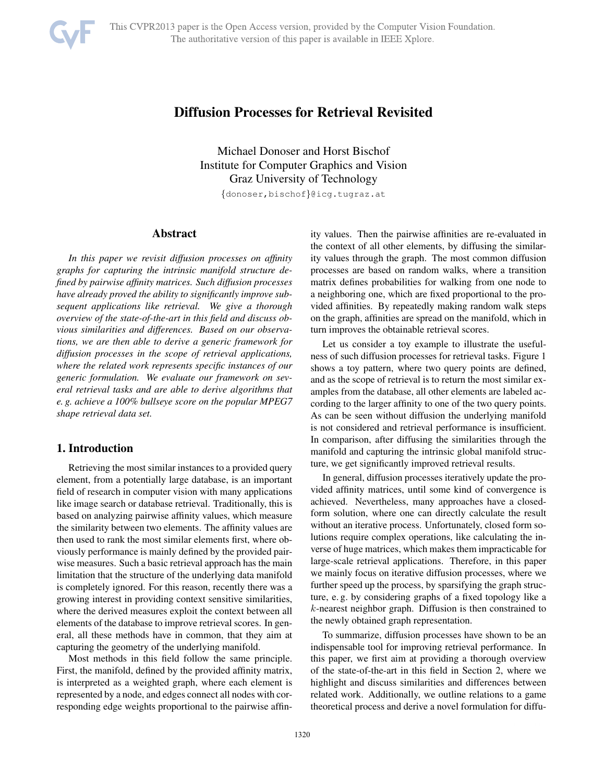# Diffusion Processes for Retrieval Revisited

Michael Donoser and Horst Bischof Institute for Computer Graphics and Vision Graz University of Technology

{donoser,bischof}@icg.tugraz.at

## Abstract

*In this paper we revisit diffusion processes on affinity graphs for capturing the intrinsic manifold structure defined by pairwise affinity matrices. Such diffusion processes have already proved the ability to significantly improve subsequent applications like retrieval. We give a thorough overview of the state-of-the-art in this field and discuss obvious similarities and differences. Based on our observations, we are then able to derive a generic framework for diffusion processes in the scope of retrieval applications, where the related work represents specific instances of our generic formulation. We evaluate our framework on several retrieval tasks and are able to derive algorithms that e. g. achieve a 100% bullseye score on the popular MPEG7 shape retrieval data set.*

## 1. Introduction

Retrieving the most similar instances to a provided query element, from a potentially large database, is an important field of research in computer vision with many applications like image search or database retrieval. Traditionally, this is based on analyzing pairwise affinity values, which measure the similarity between two elements. The affinity values are then used to rank the most similar elements first, where obviously performance is mainly defined by the provided pairwise measures. Such a basic retrieval approach has the main limitation that the structure of the underlying data manifold is completely ignored. For this reason, recently there was a growing interest in providing context sensitive similarities, where the derived measures exploit the context between all elements of the database to improve retrieval scores. In general, all these methods have in common, that they aim at capturing the geometry of the underlying manifold.

Most methods in this field follow the same principle. First, the manifold, defined by the provided affinity matrix, is interpreted as a weighted graph, where each element is represented by a node, and edges connect all nodes with corresponding edge weights proportional to the pairwise affinity values. Then the pairwise affinities are re-evaluated in the context of all other elements, by diffusing the similarity values through the graph. The most common diffusion processes are based on random walks, where a transition matrix defines probabilities for walking from one node to a neighboring one, which are fixed proportional to the provided affinities. By repeatedly making random walk steps on the graph, affinities are spread on the manifold, which in turn improves the obtainable retrieval scores.

Let us consider a toy example to illustrate the usefulness of such diffusion processes for retrieval tasks. Figure 1 shows a toy pattern, where two query points are defined, and as the scope of retrieval is to return the most similar examples from the database, all other elements are labeled according to the larger affinity to one of the two query points. As can be seen without diffusion the underlying manifold is not considered and retrieval performance is insufficient. In comparison, after diffusing the similarities through the manifold and capturing the intrinsic global manifold structure, we get significantly improved retrieval results.

In general, diffusion processes iteratively update the provided affinity matrices, until some kind of convergence is achieved. Nevertheless, many approaches have a closedform solution, where one can directly calculate the result without an iterative process. Unfortunately, closed form solutions require complex operations, like calculating the inverse of huge matrices, which makes them impracticable for large-scale retrieval applications. Therefore, in this paper we mainly focus on iterative diffusion processes, where we further speed up the process, by sparsifying the graph structure, e. g. by considering graphs of a fixed topology like a k-nearest neighbor graph. Diffusion is then constrained to the newly obtained graph representation.

To summarize, diffusion processes have shown to be an indispensable tool for improving retrieval performance. In this paper, we first aim at providing a thorough overview of the state-of-the-art in this field in Section 2, where we highlight and discuss similarities and differences between related work. Additionally, we outline relations to a game theoretical process and derive a novel formulation for diffu-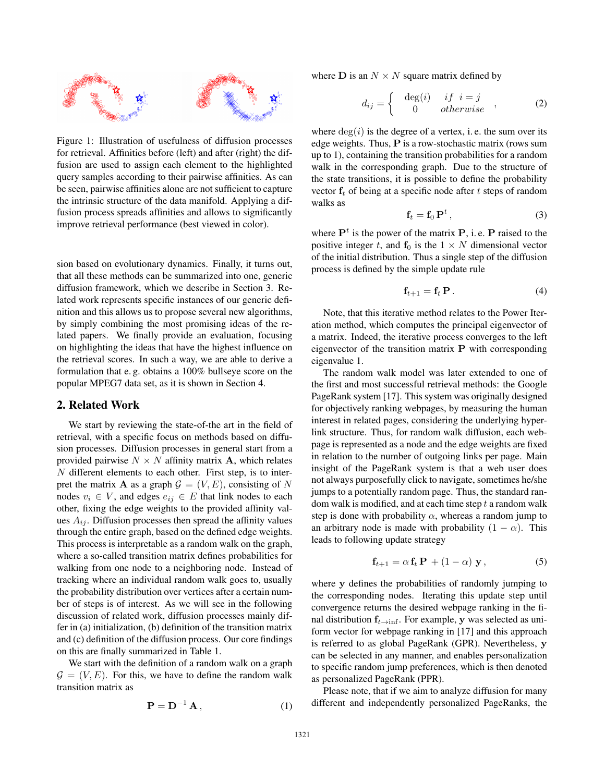

Figure 1: Illustration of usefulness of diffusion processes for retrieval. Affinities before (left) and after (right) the diffusion are used to assign each element to the highlighted query samples according to their pairwise affinities. As can be seen, pairwise affinities alone are not sufficient to capture the intrinsic structure of the data manifold. Applying a diffusion process spreads affinities and allows to significantly improve retrieval performance (best viewed in color).

sion based on evolutionary dynamics. Finally, it turns out, that all these methods can be summarized into one, generic diffusion framework, which we describe in Section 3. Related work represents specific instances of our generic definition and this allows us to propose several new algorithms, by simply combining the most promising ideas of the related papers. We finally provide an evaluation, focusing on highlighting the ideas that have the highest influence on the retrieval scores. In such a way, we are able to derive a formulation that e. g. obtains a 100% bullseye score on the popular MPEG7 data set, as it is shown in Section 4.

### 2. Related Work

We start by reviewing the state-of-the art in the field of retrieval, with a specific focus on methods based on diffusion processes. Diffusion processes in general start from a provided pairwise  $N \times N$  affinity matrix **A**, which relates  $N$  different elements to each other. First step, is to interpret the matrix **A** as a graph  $\mathcal{G} = (V, E)$ , consisting of N nodes  $v_i \in V$ , and edges  $e_{ij} \in E$  that link nodes to each other, fixing the edge weights to the provided affinity values  $A_{ij}$ . Diffusion processes then spread the affinity values through the entire graph, based on the defined edge weights. This process is interpretable as a random walk on the graph, where a so-called transition matrix defines probabilities for walking from one node to a neighboring node. Instead of tracking where an individual random walk goes to, usually the probability distribution over vertices after a certain number of steps is of interest. As we will see in the following discussion of related work, diffusion processes mainly differ in (a) initialization, (b) definition of the transition matrix and (c) definition of the diffusion process. Our core findings on this are finally summarized in Table 1.

We start with the definition of a random walk on a graph  $\mathcal{G} = (V, E)$ . For this, we have to define the random walk transition matrix as

$$
\mathbf{P} = \mathbf{D}^{-1} \mathbf{A},\tag{1}
$$

where **D** is an  $N \times N$  square matrix defined by

$$
d_{ij} = \begin{cases} \deg(i) & if \ i = j \\ 0 & otherwise \end{cases} , \qquad (2)
$$

where  $deg(i)$  is the degree of a vertex, i.e. the sum over its edge weights. Thus, **P** is a row-stochastic matrix (rows sum up to 1), containing the transition probabilities for a random walk in the corresponding graph. Due to the structure of the state transitions, it is possible to define the probability vector  $f_t$  of being at a specific node after  $t$  steps of random walks as

$$
\mathbf{f}_t = \mathbf{f}_0 \, \mathbf{P}^t \,, \tag{3}
$$

where  $P<sup>t</sup>$  is the power of the matrix  $P$ , i.e.  $P$  raised to the positive integer t, and  $f_0$  is the  $1 \times N$  dimensional vector of the initial distribution. Thus a single step of the diffusion process is defined by the simple update rule

$$
\mathbf{f}_{t+1} = \mathbf{f}_t \, \mathbf{P} \,. \tag{4}
$$

Note, that this iterative method relates to the Power Iteration method, which computes the principal eigenvector of a matrix. Indeed, the iterative process converges to the left eigenvector of the transition matrix **P** with corresponding eigenvalue 1.

The random walk model was later extended to one of the first and most successful retrieval methods: the Google PageRank system [17]. This system was originally designed for objectively ranking webpages, by measuring the human interest in related pages, considering the underlying hyperlink structure. Thus, for random walk diffusion, each webpage is represented as a node and the edge weights are fixed in relation to the number of outgoing links per page. Main insight of the PageRank system is that a web user does not always purposefully click to navigate, sometimes he/she jumps to a potentially random page. Thus, the standard random walk is modified, and at each time step  $t$  a random walk step is done with probability  $\alpha$ , whereas a random jump to an arbitrary node is made with probability  $(1 - \alpha)$ . This leads to following update strategy

$$
\mathbf{f}_{t+1} = \alpha \, \mathbf{f}_t \, \mathbf{P} \, + (1 - \alpha) \, \mathbf{y} \,, \tag{5}
$$

where **y** defines the probabilities of randomly jumping to the corresponding nodes. Iterating this update step until convergence returns the desired webpage ranking in the final distribution  $f_{t\rightarrow \inf}$ . For example, **y** was selected as uniform vector for webpage ranking in [17] and this approach is referred to as global PageRank (GPR). Nevertheless, **y** can be selected in any manner, and enables personalization to specific random jump preferences, which is then denoted as personalized PageRank (PPR).

Please note, that if we aim to analyze diffusion for many different and independently personalized PageRanks, the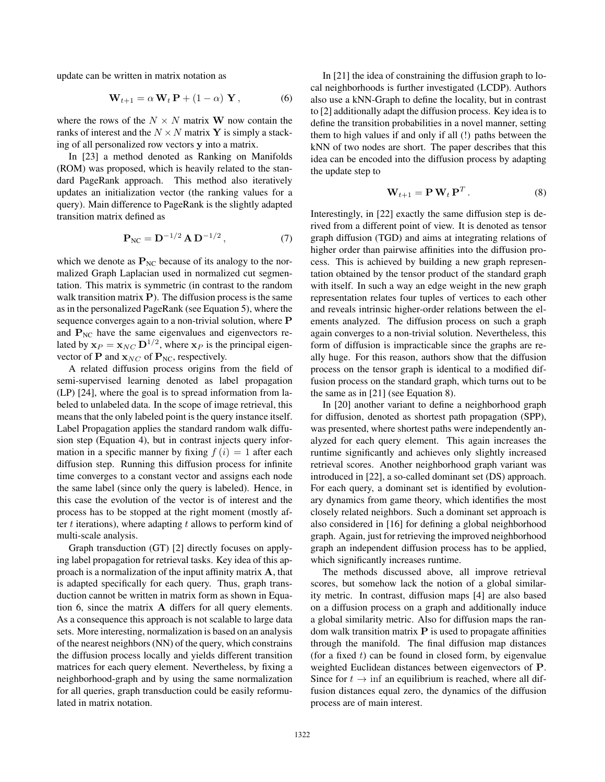update can be written in matrix notation as

$$
\mathbf{W}_{t+1} = \alpha \mathbf{W}_t \mathbf{P} + (1 - \alpha) \mathbf{Y}, \tag{6}
$$

where the rows of the  $N \times N$  matrix **W** now contain the ranks of interest and the  $N \times N$  matrix Y is simply a stacking of all personalized row vectors **y** into a matrix.

In [23] a method denoted as Ranking on Manifolds (ROM) was proposed, which is heavily related to the standard PageRank approach. This method also iteratively updates an initialization vector (the ranking values for a query). Main difference to PageRank is the slightly adapted transition matrix defined as

$$
P_{NC} = D^{-1/2} A D^{-1/2}, \qquad (7)
$$

which we denote as  $P_{NC}$  because of its analogy to the normalized Graph Laplacian used in normalized cut segmentation. This matrix is symmetric (in contrast to the random walk transition matrix **P**). The diffusion process is the same as in the personalized PageRank (see Equation 5), where the sequence converges again to a non-trivial solution, where **P** and  $P_{NC}$  have the same eigenvalues and eigenvectors related by  $\mathbf{x}_P = \mathbf{x}_{NC} \mathbf{D}^{1/2}$ , where  $\mathbf{x}_P$  is the principal eigenvector of **P** and  $\mathbf{x}_{NC}$  of  $\mathbf{P}_{NC}$ , respectively.

A related diffusion process origins from the field of semi-supervised learning denoted as label propagation (LP) [24], where the goal is to spread information from labeled to unlabeled data. In the scope of image retrieval, this means that the only labeled point is the query instance itself. Label Propagation applies the standard random walk diffusion step (Equation 4), but in contrast injects query information in a specific manner by fixing  $f(i)=1$  after each diffusion step. Running this diffusion process for infinite time converges to a constant vector and assigns each node the same label (since only the query is labeled). Hence, in this case the evolution of the vector is of interest and the process has to be stopped at the right moment (mostly after  $t$  iterations), where adapting  $t$  allows to perform kind of multi-scale analysis.

Graph transduction (GT) [2] directly focuses on applying label propagation for retrieval tasks. Key idea of this approach is a normalization of the input affinity matrix **A**, that is adapted specifically for each query. Thus, graph transduction cannot be written in matrix form as shown in Equation 6, since the matrix **A** differs for all query elements. As a consequence this approach is not scalable to large data sets. More interesting, normalization is based on an analysis of the nearest neighbors (NN) of the query, which constrains the diffusion process locally and yields different transition matrices for each query element. Nevertheless, by fixing a neighborhood-graph and by using the same normalization for all queries, graph transduction could be easily reformulated in matrix notation.

In [21] the idea of constraining the diffusion graph to local neighborhoods is further investigated (LCDP). Authors also use a kNN-Graph to define the locality, but in contrast to [2] additionally adapt the diffusion process. Key idea is to define the transition probabilities in a novel manner, setting them to high values if and only if all (!) paths between the kNN of two nodes are short. The paper describes that this idea can be encoded into the diffusion process by adapting the update step to

$$
\mathbf{W}_{t+1} = \mathbf{P} \mathbf{W}_t \mathbf{P}^T.
$$
 (8)

Interestingly, in [22] exactly the same diffusion step is derived from a different point of view. It is denoted as tensor graph diffusion (TGD) and aims at integrating relations of higher order than pairwise affinities into the diffusion process. This is achieved by building a new graph representation obtained by the tensor product of the standard graph with itself. In such a way an edge weight in the new graph representation relates four tuples of vertices to each other and reveals intrinsic higher-order relations between the elements analyzed. The diffusion process on such a graph again converges to a non-trivial solution. Nevertheless, this form of diffusion is impracticable since the graphs are really huge. For this reason, authors show that the diffusion process on the tensor graph is identical to a modified diffusion process on the standard graph, which turns out to be the same as in [21] (see Equation 8).

In [20] another variant to define a neighborhood graph for diffusion, denoted as shortest path propagation (SPP), was presented, where shortest paths were independently analyzed for each query element. This again increases the runtime significantly and achieves only slightly increased retrieval scores. Another neighborhood graph variant was introduced in [22], a so-called dominant set (DS) approach. For each query, a dominant set is identified by evolutionary dynamics from game theory, which identifies the most closely related neighbors. Such a dominant set approach is also considered in [16] for defining a global neighborhood graph. Again, just for retrieving the improved neighborhood graph an independent diffusion process has to be applied, which significantly increases runtime.

The methods discussed above, all improve retrieval scores, but somehow lack the notion of a global similarity metric. In contrast, diffusion maps [4] are also based on a diffusion process on a graph and additionally induce a global similarity metric. Also for diffusion maps the random walk transition matrix **P** is used to propagate affinities through the manifold. The final diffusion map distances (for a fixed  $t$ ) can be found in closed form, by eigenvalue weighted Euclidean distances between eigenvectors of **P**. Since for  $t \to \text{inf}$  an equilibrium is reached, where all diffusion distances equal zero, the dynamics of the diffusion process are of main interest.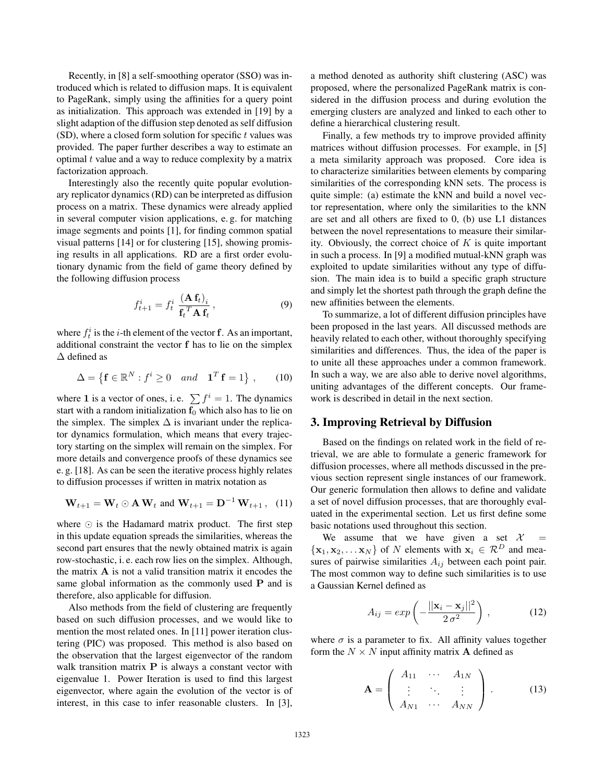Recently, in [8] a self-smoothing operator (SSO) was introduced which is related to diffusion maps. It is equivalent to PageRank, simply using the affinities for a query point as initialization. This approach was extended in [19] by a slight adaption of the diffusion step denoted as self diffusion  $(SD)$ , where a closed form solution for specific t values was provided. The paper further describes a way to estimate an optimal  $t$  value and a way to reduce complexity by a matrix factorization approach.

Interestingly also the recently quite popular evolutionary replicator dynamics (RD) can be interpreted as diffusion process on a matrix. These dynamics were already applied in several computer vision applications, e. g. for matching image segments and points [1], for finding common spatial visual patterns [14] or for clustering [15], showing promising results in all applications. RD are a first order evolutionary dynamic from the field of game theory defined by the following diffusion process

$$
f_{t+1}^i = f_t^i \frac{(\mathbf{A} \mathbf{f}_t)_i}{\mathbf{f}_t^T \mathbf{A} \mathbf{f}_t},
$$
\n(9)

where  $f_t^i$  is the *i*-th element of the vector **f**. As an important, additional constraint the vector **f** has to lie on the simplex Δ defined as

$$
\Delta = \left\{ \mathbf{f} \in \mathbb{R}^N : f^i \ge 0 \quad and \quad \mathbf{1}^T \mathbf{f} = 1 \right\}, \qquad (10)
$$

where 1 is a vector of ones, i.e.  $\sum f^i = 1$ . The dynamics start with a random initialization  $\mathbf{f}_0$  which also has to lie on the simplex. The simplex  $\Delta$  is invariant under the replicator dynamics formulation, which means that every trajectory starting on the simplex will remain on the simplex. For more details and convergence proofs of these dynamics see e. g. [18]. As can be seen the iterative process highly relates to diffusion processes if written in matrix notation as

$$
\mathbf{W}_{t+1} = \mathbf{W}_t \odot \mathbf{A} \mathbf{W}_t \text{ and } \mathbf{W}_{t+1} = \mathbf{D}^{-1} \mathbf{W}_{t+1}, \quad (11)
$$

where  $\odot$  is the Hadamard matrix product. The first step in this update equation spreads the similarities, whereas the second part ensures that the newly obtained matrix is again row-stochastic, i. e. each row lies on the simplex. Although, the matrix **A** is not a valid transition matrix it encodes the same global information as the commonly used **P** and is therefore, also applicable for diffusion.

Also methods from the field of clustering are frequently based on such diffusion processes, and we would like to mention the most related ones. In [11] power iteration clustering (PIC) was proposed. This method is also based on the observation that the largest eigenvector of the random walk transition matrix **P** is always a constant vector with eigenvalue 1. Power Iteration is used to find this largest eigenvector, where again the evolution of the vector is of interest, in this case to infer reasonable clusters. In [3], a method denoted as authority shift clustering (ASC) was proposed, where the personalized PageRank matrix is considered in the diffusion process and during evolution the emerging clusters are analyzed and linked to each other to define a hierarchical clustering result.

Finally, a few methods try to improve provided affinity matrices without diffusion processes. For example, in [5] a meta similarity approach was proposed. Core idea is to characterize similarities between elements by comparing similarities of the corresponding kNN sets. The process is quite simple: (a) estimate the kNN and build a novel vector representation, where only the similarities to the kNN are set and all others are fixed to 0, (b) use L1 distances between the novel representations to measure their similarity. Obviously, the correct choice of  $K$  is quite important in such a process. In [9] a modified mutual-kNN graph was exploited to update similarities without any type of diffusion. The main idea is to build a specific graph structure and simply let the shortest path through the graph define the new affinities between the elements.

To summarize, a lot of different diffusion principles have been proposed in the last years. All discussed methods are heavily related to each other, without thoroughly specifying similarities and differences. Thus, the idea of the paper is to unite all these approaches under a common framework. In such a way, we are also able to derive novel algorithms, uniting advantages of the different concepts. Our framework is described in detail in the next section.

## 3. Improving Retrieval by Diffusion

Based on the findings on related work in the field of retrieval, we are able to formulate a generic framework for diffusion processes, where all methods discussed in the previous section represent single instances of our framework. Our generic formulation then allows to define and validate a set of novel diffusion processes, that are thoroughly evaluated in the experimental section. Let us first define some basic notations used throughout this section.

We assume that we have given a set  $\mathcal{X}$  =  $\{x_1, x_2, \ldots x_N\}$  of N elements with  $x_i \in \mathcal{R}^D$  and measures of pairwise similarities  $A_{ij}$  between each point pair. The most common way to define such similarities is to use a Gaussian Kernel defined as

$$
A_{ij} = exp\left(-\frac{||\mathbf{x}_i - \mathbf{x}_j||^2}{2\sigma^2}\right),\tag{12}
$$

where  $\sigma$  is a parameter to fix. All affinity values together form the  $N \times N$  input affinity matrix **A** defined as

$$
\mathbf{A} = \begin{pmatrix} A_{11} & \cdots & A_{1N} \\ \vdots & \ddots & \vdots \\ A_{N1} & \cdots & A_{NN} \end{pmatrix} .
$$
 (13)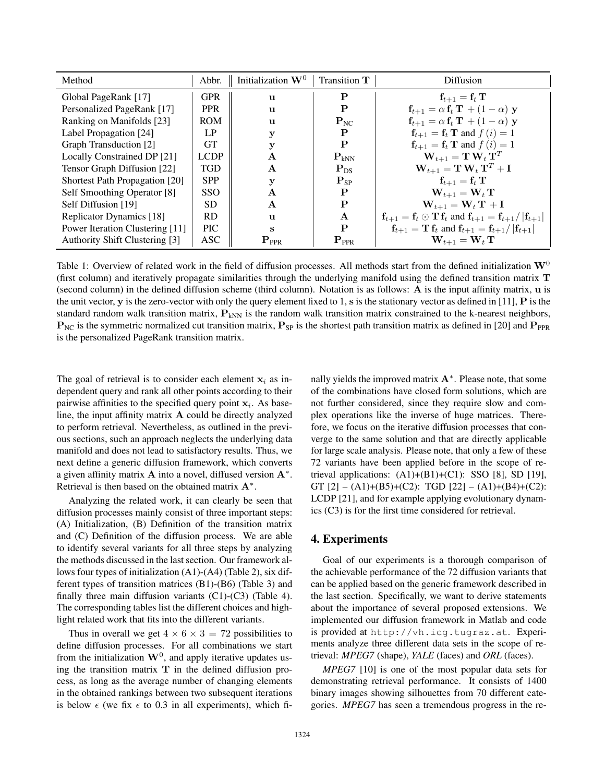| Method                          | Abbr.       | Initialization $W^0$      | Transition T    | Diffusion                                                                     |
|---------------------------------|-------------|---------------------------|-----------------|-------------------------------------------------------------------------------|
| Global PageRank [17]            | <b>GPR</b>  | $\mathbf{u}$              | P               | $\mathbf{f}_{t+1} = \mathbf{f}_t \mathbf{T}$                                  |
| Personalized PageRank [17]      | <b>PPR</b>  | $\mathbf{u}$              | P               | $\mathbf{f}_{t+1} = \alpha \mathbf{f}_t \mathbf{T} + (1 - \alpha) \mathbf{y}$ |
| Ranking on Manifolds [23]       | <b>ROM</b>  | $\mathbf{u}$              | $P_{NC}$        | $\mathbf{f}_{t+1} = \alpha \mathbf{f}_t \mathbf{T} + (1 - \alpha) \mathbf{y}$ |
| Label Propagation [24]          | LP          | у                         | P               | $\mathbf{f}_{t+1} = \mathbf{f}_t \mathbf{T}$ and $f(i) = 1$                   |
| Graph Transduction [2]          | <b>GT</b>   | v                         | P               | $\mathbf{f}_{t+1} = \mathbf{f}_t \mathbf{T}$ and $f(i) = 1$                   |
| Locally Constrained DP [21]     | <b>LCDP</b> | A                         | $P_{kNN}$       | $\mathbf{W}_{t+1} = \mathbf{T} \mathbf{W}_t \mathbf{T}^T$                     |
| Tensor Graph Diffusion [22]     | <b>TGD</b>  | $\mathbf{A}$              | $P_{DS}$        | $\mathbf{W}_{t+1} = \mathbf{T} \mathbf{W}_t \mathbf{T}^T + \mathbf{I}$        |
| Shortest Path Propagation [20]  | <b>SPP</b>  | у                         | $P_{SP}$        | $\mathbf{f}_{t+1} = \mathbf{f}_t \mathbf{T}$                                  |
| Self Smoothing Operator [8]     | <b>SSO</b>  | A                         | P               | $\mathbf{W}_{t+1} = \mathbf{W}_t \mathbf{T}$                                  |
| Self Diffusion [19]             | SD.         | $\mathbf{A}$              | P               | $\mathbf{W}_{t+1} = \mathbf{W}_t \mathbf{T} + \mathbf{I}$                     |
| Replicator Dynamics [18]        | <b>RD</b>   | $\mathbf{u}$              | A               | $f_{t+1} = f_t \odot T f_t$ and $f_{t+1} = f_{t+1} /  f_{t+1} $               |
| Power Iteration Clustering [11] | <b>PIC</b>  | S                         | P               | $f_{t+1} = T f_t$ and $f_{t+1} = f_{t+1} /  f_{t+1} $                         |
| Authority Shift Clustering [3]  | <b>ASC</b>  | $\mathbf{P}_{\text{PPR}}$ | ${\bf P}_{PPR}$ | $\mathbf{W}_{t+1} = \mathbf{W}_t \mathbf{T}$                                  |

Table 1: Overview of related work in the field of diffusion processes. All methods start from the defined initialization  $W^0$ (first column) and iteratively propagate similarities through the underlying manifold using the defined transition matrix **T** (second column) in the defined diffusion scheme (third column). Notation is as follows: **A** is the input affinity matrix, **u** is the unit vector, **y** is the zero-vector with only the query element fixed to 1, **s** is the stationary vector as defined in [11], **P** is the standard random walk transition matrix,  $P_{kNN}$  is the random walk transition matrix constrained to the k-nearest neighbors,  $P_{NC}$  is the symmetric normalized cut transition matrix,  $P_{SP}$  is the shortest path transition matrix as defined in [20] and  $P_{PPR}$ is the personalized PageRank transition matrix.

The goal of retrieval is to consider each element  $x_i$  as independent query and rank all other points according to their pairwise affinities to the specified query point  $x_i$ . As baseline, the input affinity matrix **A** could be directly analyzed to perform retrieval. Nevertheless, as outlined in the previous sections, such an approach neglects the underlying data manifold and does not lead to satisfactory results. Thus, we next define a generic diffusion framework, which converts a given affinity matrix **A** into a novel, diffused version **A**∗. Retrieval is then based on the obtained matrix **A**∗.

Analyzing the related work, it can clearly be seen that diffusion processes mainly consist of three important steps: (A) Initialization, (B) Definition of the transition matrix and (C) Definition of the diffusion process. We are able to identify several variants for all three steps by analyzing the methods discussed in the last section. Our framework allows four types of initialization (A1)-(A4) (Table 2), six different types of transition matrices (B1)-(B6) (Table 3) and finally three main diffusion variants  $(C1)-(C3)$  (Table 4). The corresponding tables list the different choices and highlight related work that fits into the different variants.

Thus in overall we get  $4 \times 6 \times 3 = 72$  possibilities to define diffusion processes. For all combinations we start from the initialization  $W<sup>0</sup>$ , and apply iterative updates using the transition matrix **T** in the defined diffusion process, as long as the average number of changing elements in the obtained rankings between two subsequent iterations is below  $\epsilon$  (we fix  $\epsilon$  to 0.3 in all experiments), which finally yields the improved matrix **A**∗. Please note, that some of the combinations have closed form solutions, which are not further considered, since they require slow and complex operations like the inverse of huge matrices. Therefore, we focus on the iterative diffusion processes that converge to the same solution and that are directly applicable for large scale analysis. Please note, that only a few of these 72 variants have been applied before in the scope of retrieval applications:  $(A1)+(B1)+(C1)$ : SSO [8], SD [19], GT  $[2] - (A1)+(B5)+(C2)$ : TGD  $[22] - (A1)+(B4)+(C2)$ : LCDP [21], and for example applying evolutionary dynamics (C3) is for the first time considered for retrieval.

## 4. Experiments

Goal of our experiments is a thorough comparison of the achievable performance of the 72 diffusion variants that can be applied based on the generic framework described in the last section. Specifically, we want to derive statements about the importance of several proposed extensions. We implemented our diffusion framework in Matlab and code is provided at http://vh.icg.tugraz.at. Experiments analyze three different data sets in the scope of retrieval: *MPEG7* (shape), *YALE* (faces) and *ORL* (faces).

*MPEG7* [10] is one of the most popular data sets for demonstrating retrieval performance. It consists of 1400 binary images showing silhouettes from 70 different categories. *MPEG7* has seen a tremendous progress in the re-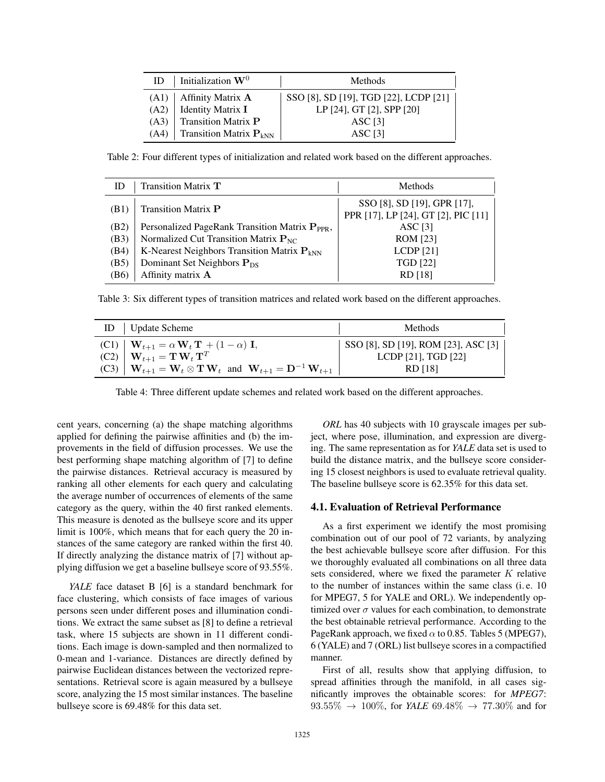|      | ID   Initialization $W^0$                     | Methods                               |
|------|-----------------------------------------------|---------------------------------------|
| (A1) | Affinity Matrix A                             | SSO [8], SD [19], TGD [22], LCDP [21] |
| (A2) | Identity Matrix I                             | LP [24], GT [2], SPP [20]             |
| (A3) | <b>Transition Matrix P</b>                    | ASC [3]                               |
| (A4) | <b>Transition Matrix <math>P_{kNN}</math></b> | $\triangle$ SC [3]                    |

Table 2: Four different types of initialization and related work based on the different approaches.

| ID                | Transition Matrix T                                        | Methods                                                            |
|-------------------|------------------------------------------------------------|--------------------------------------------------------------------|
| (B1)              | <b>Transition Matrix P</b>                                 | SSO [8], SD [19], GPR [17],<br>PPR [17], LP [24], GT [2], PIC [11] |
| (B2)              | Personalized PageRank Transition Matrix P <sub>PPR</sub> , | ASC [3]                                                            |
| (B3)              | Normalized Cut Transition Matrix $P_{NC}$                  | <b>ROM</b> [23]                                                    |
| (B4)              | K-Nearest Neighbors Transition Matrix $P_{kNN}$            | LCDP[21]                                                           |
| (B5)              | Dominant Set Neighbors $P_{DS}$                            | <b>TGD</b> [22]                                                    |
| (B <sub>6</sub> ) | Affinity matrix A                                          | RD [18]                                                            |

Table 3: Six different types of transition matrices and related work based on the different approaches.

| Update Scheme<br>ID                                                                                                              | Methods                             |
|----------------------------------------------------------------------------------------------------------------------------------|-------------------------------------|
| (C1) $\mathbf{W}_{t+1} = \alpha \mathbf{W}_t \mathbf{T} + (1 - \alpha) \mathbf{I},$                                              | SSO [8], SD [19], ROM [23], ASC [3] |
| $(C2)$ $\mathbf{W}_{t+1} = \mathbf{T} \mathbf{W}_t \mathbf{T}^T$                                                                 | LCDP $[21]$ , TGD $[22]$            |
| (C3) $\mathbf{W}_{t+1} = \mathbf{W}_t \otimes \mathbf{T} \mathbf{W}_t$ and $\mathbf{W}_{t+1} = \mathbf{D}^{-1} \mathbf{W}_{t+1}$ | RD [18]                             |

Table 4: Three different update schemes and related work based on the different approaches.

cent years, concerning (a) the shape matching algorithms applied for defining the pairwise affinities and (b) the improvements in the field of diffusion processes. We use the best performing shape matching algorithm of [7] to define the pairwise distances. Retrieval accuracy is measured by ranking all other elements for each query and calculating the average number of occurrences of elements of the same category as the query, within the 40 first ranked elements. This measure is denoted as the bullseye score and its upper limit is 100%, which means that for each query the 20 instances of the same category are ranked within the first 40. If directly analyzing the distance matrix of [7] without applying diffusion we get a baseline bullseye score of 93.55%.

*YALE* face dataset B [6] is a standard benchmark for face clustering, which consists of face images of various persons seen under different poses and illumination conditions. We extract the same subset as [8] to define a retrieval task, where 15 subjects are shown in 11 different conditions. Each image is down-sampled and then normalized to 0-mean and 1-variance. Distances are directly defined by pairwise Euclidean distances between the vectorized representations. Retrieval score is again measured by a bullseye score, analyzing the 15 most similar instances. The baseline bullseye score is 69.48% for this data set.

*ORL* has 40 subjects with 10 grayscale images per subject, where pose, illumination, and expression are diverging. The same representation as for *YALE* data set is used to build the distance matrix, and the bullseye score considering 15 closest neighbors is used to evaluate retrieval quality. The baseline bullseye score is 62.35% for this data set.

#### 4.1. Evaluation of Retrieval Performance

As a first experiment we identify the most promising combination out of our pool of 72 variants, by analyzing the best achievable bullseye score after diffusion. For this we thoroughly evaluated all combinations on all three data sets considered, where we fixed the parameter  $K$  relative to the number of instances within the same class (i. e. 10 for MPEG7, 5 for YALE and ORL). We independently optimized over  $\sigma$  values for each combination, to demonstrate the best obtainable retrieval performance. According to the PageRank approach, we fixed  $\alpha$  to 0.85. Tables 5 (MPEG7), 6 (YALE) and 7 (ORL) list bullseye scores in a compactified manner.

First of all, results show that applying diffusion, to spread affinities through the manifold, in all cases significantly improves the obtainable scores: for *MPEG7*:  $93.55\% \rightarrow 100\%$ , for *YALE*  $69.48\% \rightarrow 77.30\%$  and for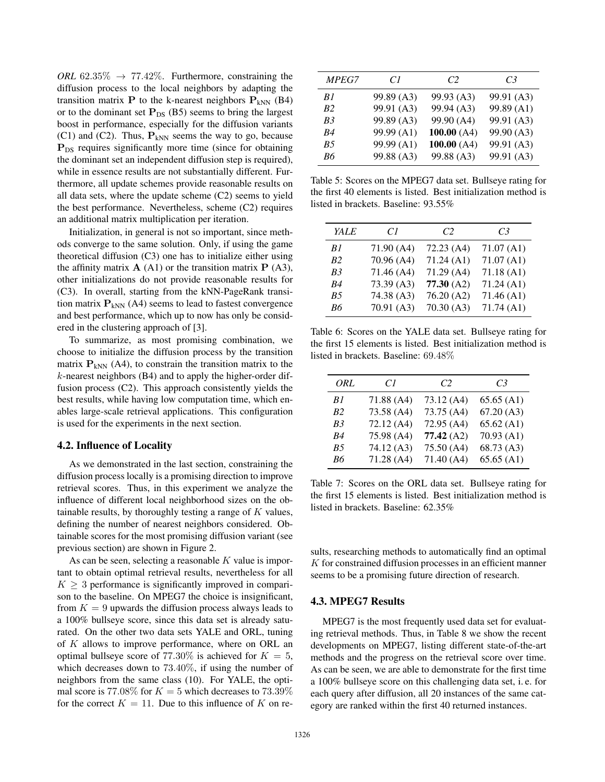*ORL* 62.35%  $\rightarrow$  77.42%. Furthermore, constraining the diffusion process to the local neighbors by adapting the transition matrix **P** to the k-nearest neighbors  $P_{kNN}$  (B4) or to the dominant set  $P_{DS}$  (B5) seems to bring the largest boost in performance, especially for the diffusion variants (C1) and (C2). Thus,  $P_{kNN}$  seems the way to go, because **P**<sub>DS</sub> requires significantly more time (since for obtaining the dominant set an independent diffusion step is required), while in essence results are not substantially different. Furthermore, all update schemes provide reasonable results on all data sets, where the update scheme (C2) seems to yield the best performance. Nevertheless, scheme (C2) requires an additional matrix multiplication per iteration.

Initialization, in general is not so important, since methods converge to the same solution. Only, if using the game theoretical diffusion (C3) one has to initialize either using the affinity matrix  $\mathbf{A}(A1)$  or the transition matrix  $\mathbf{P}(A3)$ , other initializations do not provide reasonable results for (C3). In overall, starting from the kNN-PageRank transition matrix  $P_{kNN}$  (A4) seems to lead to fastest convergence and best performance, which up to now has only be considered in the clustering approach of [3].

To summarize, as most promising combination, we choose to initialize the diffusion process by the transition matrix  $P_{kNN}$  (A4), to constrain the transition matrix to the k-nearest neighbors (B4) and to apply the higher-order diffusion process (C2). This approach consistently yields the best results, while having low computation time, which enables large-scale retrieval applications. This configuration is used for the experiments in the next section.

#### 4.2. Influence of Locality

As we demonstrated in the last section, constraining the diffusion process locally is a promising direction to improve retrieval scores. Thus, in this experiment we analyze the influence of different local neighborhood sizes on the obtainable results, by thoroughly testing a range of  $K$  values, defining the number of nearest neighbors considered. Obtainable scores for the most promising diffusion variant (see previous section) are shown in Figure 2.

As can be seen, selecting a reasonable  $K$  value is important to obtain optimal retrieval results, nevertheless for all  $K \geq 3$  performance is significantly improved in comparison to the baseline. On MPEG7 the choice is insignificant, from  $K = 9$  upwards the diffusion process always leads to a 100% bullseye score, since this data set is already saturated. On the other two data sets YALE and ORL, tuning of K allows to improve performance, where on ORL an optimal bullseye score of 77.30% is achieved for  $K = 5$ , which decreases down to 73.40%, if using the number of neighbors from the same class (10). For YALE, the optimal score is 77.08% for  $K = 5$  which decreases to 73.39% for the correct  $K = 11$ . Due to this influence of K on re-

| <b>MPEG7</b> | C1                    | C <sub>2</sub>        | C3                    |
|--------------|-----------------------|-----------------------|-----------------------|
| B1           | 99.89 (A3)            | 99.93 (A3)            | 99.91 <sub>(A3)</sub> |
| <b>B</b> 2   | 99.91 (A3)            | 99.94 (A3)            | 99.89 (A1)            |
| B3           | 99.89 <sub>(A3)</sub> | 99.90 (A4)            | 99.91 <sub>(A3)</sub> |
| R4           | 99.99 (A1)            | 100.00(A4)            | 99.90 (A3)            |
| <b>B5</b>    | 99.99 (A1)            | 100.00(A4)            | 99.91 <sub>(A3)</sub> |
| Rб           | 99.88 <sub>(A3)</sub> | 99.88 <sub>(A3)</sub> | 99.91 <sub>(A3)</sub> |

Table 5: Scores on the MPEG7 data set. Bullseye rating for the first 40 elements is listed. Best initialization method is listed in brackets. Baseline: 93.55%

| YALE           | CI         | C <sub>2</sub> | C <sub>3</sub> |
|----------------|------------|----------------|----------------|
| B1             | 71.90 (A4) | 72.23(A4)      | 71.07 (A1)     |
| <i>B</i> 2     | 70.96 (A4) | 71.24(A1)      | 71.07(A1)      |
| B <sub>3</sub> | 71.46 (A4) | 71.29(A4)      | 71.18(A1)      |
| R4             | 73.39 (A3) | 77.30(A2)      | 71.24(A1)      |
| B5             | 74.38 (A3) | 76.20(A2)      | 71.46(A1)      |
| R6             | 70.91(A3)  | 70.30(A3)      | 71.74(A1)      |
|                |            |                |                |

Table 6: Scores on the YALE data set. Bullseye rating for the first 15 elements is listed. Best initialization method is listed in brackets. Baseline: 69.48%

| ORL                   | CI         | C <sub>2</sub> | C <sub>3</sub> |
|-----------------------|------------|----------------|----------------|
| B1                    | 71.88 (A4) | 73.12 (A4)     | 65.65(A1)      |
| <i>B</i> <sub>2</sub> | 73.58 (A4) | 73.75 (A4)     | 67.20(A3)      |
| B3                    | 72.12 (A4) | 72.95 (A4)     | 65.62(A1)      |
| R4                    | 75.98 (A4) | 77.42(A2)      | 70.93(A1)      |
| <b>B5</b>             | 74.12 (A3) | 75.50 (A4)     | 68.73 (A3)     |
| R6                    | 71.28(A4)  | 71.40 (A4)     | 65.65(A1)      |
|                       |            |                |                |

Table 7: Scores on the ORL data set. Bullseye rating for the first 15 elements is listed. Best initialization method is listed in brackets. Baseline: 62.35%

sults, researching methods to automatically find an optimal  $K$  for constrained diffusion processes in an efficient manner seems to be a promising future direction of research.

#### 4.3. MPEG7 Results

MPEG7 is the most frequently used data set for evaluating retrieval methods. Thus, in Table 8 we show the recent developments on MPEG7, listing different state-of-the-art methods and the progress on the retrieval score over time. As can be seen, we are able to demonstrate for the first time a 100% bullseye score on this challenging data set, i. e. for each query after diffusion, all 20 instances of the same category are ranked within the first 40 returned instances.